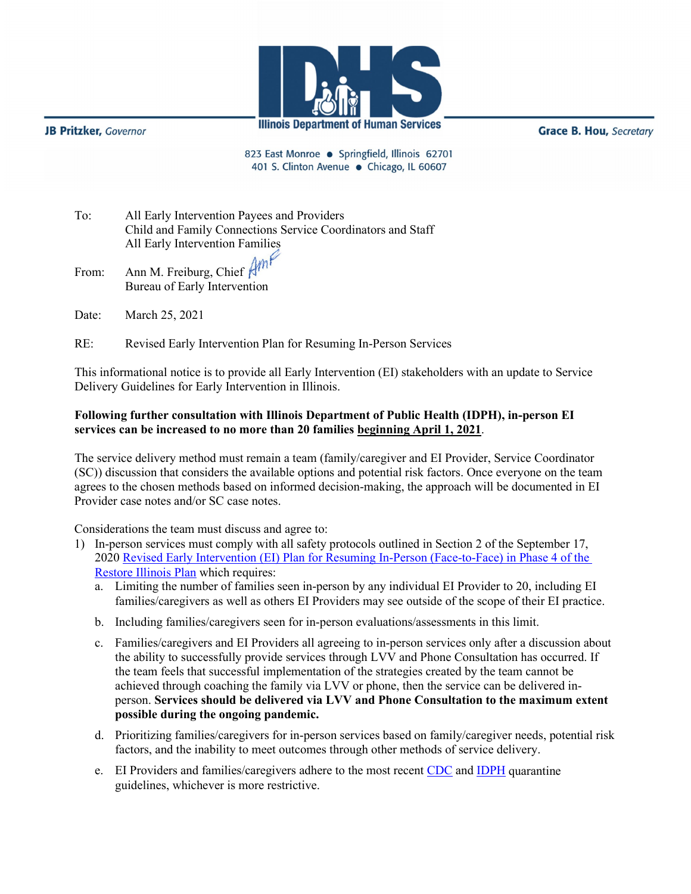

**JB Pritzker**, Governor

**Grace B. Hou, Secretary** 

823 East Monroe · Springfield, Illinois 62701 401 S. Clinton Avenue · Chicago, IL 60607

To: All Early Intervention Payees and Providers Child and Family Connections Service Coordinators and Staff All Early Intervention Families

From: Ann M. Freiburg, Chief Bureau of Early Intervention

Date: March 25, 2021

RE: Revised Early Intervention Plan for Resuming In-Person Services

This informational notice is to provide all Early Intervention (EI) stakeholders with an update to Service Delivery Guidelines for Early Intervention in Illinois.

## **Following further consultation with Illinois Department of Public Health (IDPH), in-person EI services can be increased to no more than 20 families beginning April 1, 2021**.

The service delivery method must remain a team (family/caregiver and EI Provider, Service Coordinator (SC)) discussion that considers the available options and potential risk factors. Once everyone on the team agrees to the chosen methods based on informed decision-making, the approach will be documented in EI Provider case notes and/or SC case notes.

Considerations the team must discuss and agree to:

- 1) In-person services must comply with all safety protocols outlined in Section 2 of the September 17, 202[0 Revised Early Intervention \(EI\) Plan for Resuming In-Person \(Face-to-Face\) in Phase 4 of the](http://www.wiu.edu/coehs/provider_connections/pdf/20200917%20Revised%20EI%20Plan%20for%20Resuming%20In-Person%20Services-%20Final.pdf)  [Restore Illinois Plan](http://www.wiu.edu/coehs/provider_connections/pdf/20200917%20Revised%20EI%20Plan%20for%20Resuming%20In-Person%20Services-%20Final.pdf) which requires:
	- a. Limiting the number of families seen in-person by any individual EI Provider to 20, including EI families/caregivers as well as others EI Providers may see outside of the scope of their EI practice.
	- b. Including families/caregivers seen for in-person evaluations/assessments in this limit.
	- c. Families/caregivers and EI Providers all agreeing to in-person services only after a discussion about the ability to successfully provide services through LVV and Phone Consultation has occurred. If the team feels that successful implementation of the strategies created by the team cannot be achieved through coaching the family via LVV or phone, then the service can be delivered inperson. **Services should be delivered via LVV and Phone Consultation to the maximum extent possible during the ongoing pandemic.**
	- d. Prioritizing families/caregivers for in-person services based on family/caregiver needs, potential risk factors, and the inability to meet outcomes through other methods of service delivery.
	- e. EI Providers and families/caregivers adhere to the most recent [CDC](https://www.cdc.gov/coronavirus/2019-ncov/hcp/disposition-in-home-patients.html) and [IDPH](http://www.dph.illinois.gov/topics-services/diseases-and-conditions/diseases-a-z-list/coronavirus) quarantine guidelines, whichever is more restrictive.